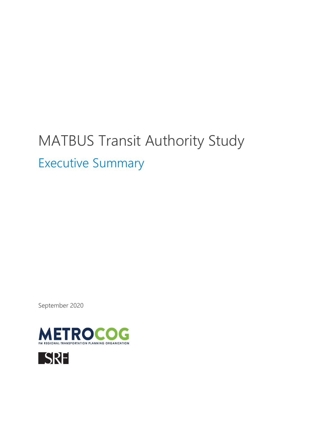# MATBUS Transit Authority Study

Executive Summary

September 2020



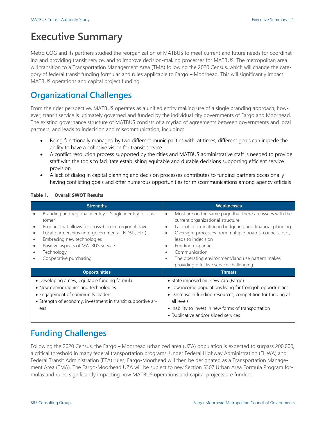# **Executive Summary**

Metro COG and its partners studied the reorganization of MATBUS to meet current and future needs for coordinating and providing transit service, and to improve decision-making processes for MATBUS. The metropolitan area will transition to a Transportation Management Area (TMA) following the 2020 Census, which will change the category of federal transit funding formulas and rules applicable to Fargo – Moorhead. This will significantly impact MATBUS operations and capital project funding.

## **Organizational Challenges**

From the rider perspective, MATBUS operates as a unified entity making use of a single branding approach; however, transit service is ultimately governed and funded by the individual city governments of Fargo and Moorhead. The existing governance structure of MATBUS consists of a myriad of agreements between governments and local partners, and leads to indecision and miscommunication, including:

- Being functionally managed by two different municipalities with, at times, different goals can impede the ability to have a cohesive vision for transit service
- A conflict resolution process supported by the cities and MATBUS administrative staff is needed to provide staff with the tools to facilitate establishing equitable and durable decisions supporting efficient service provision.
- A lack of dialog in capital planning and decision processes contributes to funding partners occasionally having conflicting goals and offer numerous opportunities for miscommunications among agency officials

| <b>Strengths</b>                                                                                                                                                                                                                                                                                           | <b>Weaknesses</b>                                                                                                                                                                                                                                                                                                                                                                                                                                                 |  |
|------------------------------------------------------------------------------------------------------------------------------------------------------------------------------------------------------------------------------------------------------------------------------------------------------------|-------------------------------------------------------------------------------------------------------------------------------------------------------------------------------------------------------------------------------------------------------------------------------------------------------------------------------------------------------------------------------------------------------------------------------------------------------------------|--|
| Branding and regional identity - Single identity for cus-<br>tomer<br>Product that allows for cross-border, regional travel<br>Local partnerships (intergovernmental, NDSU, etc.)<br>$\bullet$<br>Embracing new technologies<br>Positive aspects of MATBUS service<br>Technology<br>Cooperative purchasing | Most are on the same page that there are issues with the<br>$\bullet$<br>current organizational structure<br>Lack of coordination in budgeting and financial planning<br>$\bullet$<br>Oversight processes from multiple boards, councils, etc.,<br>$\bullet$<br>leads to indecision<br>Funding disparities<br>$\bullet$<br>Communication<br>$\bullet$<br>The operating environment/land use pattern makes<br>$\bullet$<br>providing effective service challenging |  |
| <b>Opportunities</b>                                                                                                                                                                                                                                                                                       | <b>Threats</b>                                                                                                                                                                                                                                                                                                                                                                                                                                                    |  |
| • Developing a new, equitable funding formula<br>• New demographics and technologies<br>• Engagement of community leaders<br>• Strength of economy, investment in transit supportive ar-<br>eas                                                                                                            | • State imposed mill-levy cap (Fargo)<br>• Low income populations living far from job opportunities.<br>• Decrease in funding resources, competition for funding at<br>all levels<br>• Inability to invest in new forms of transportation<br>• Duplicative and/or siloed services                                                                                                                                                                                 |  |

#### **Table 1. Overall SWOT Results**

# **Funding Challenges**

Following the 2020 Census, the Fargo – Moorhead urbanized area (UZA) population is expected to surpass 200,000, a critical threshold in many federal transportation programs. Under Federal Highway Administration (FHWA) and Federal Transit Administration (FTA) rules, Fargo-Moorhead will then be designated as a Transportation Management Area (TMA). The Fargo-Moorhead UZA will be subject to new Section 5307 Urban Area Formula Program formulas and rules, significantly impacting how MATBUS operations and capital projects are funded.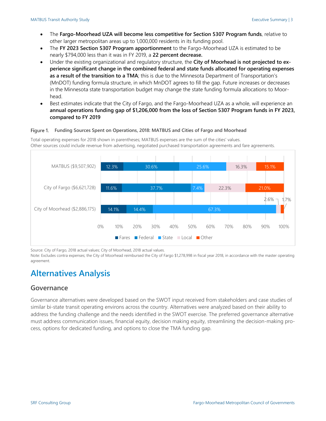- The **Fargo-Moorhead UZA will become less competitive for Section 5307 Program funds**, relative to other larger metropolitan areas up to 1,000,000 residents in its funding pool.
- The **FY 2023 Section 5307 Program apportionment** to the Fargo-Moorhead UZA is estimated to be nearly \$794,000 less than it was in FY 2019, a **22 percent decrease.**
- Under the existing organizational and regulatory structure, the **City of Moorhead is not projected to experience significant change in the combined federal and state funds allocated for operating expenses as a result of the transition to a TMA**; this is due to the Minnesota Department of Transportation's (MnDOT) funding formula structure, in which MnDOT agrees to fill the gap. Future increases or decreases in the Minnesota state transportation budget may change the state funding formula allocations to Moorhead.
- Best estimates indicate that the City of Fargo, and the Fargo-Moorhead UZA as a whole, will experience an **annual operations funding gap of \$1,206,000 from the loss of Section 5307 Program funds in FY 2023, compared to FY 2019**

#### Figure 1. Funding Sources Spent on Operations, 2018: MATBUS and Cities of Fargo and Moorhead

Total operating expenses for 2018 shown in parentheses; MATBUS expenses are the sum of the cities' values. Other sources could include revenue from advertising, negotiated purchased transportation agreements and fare agreements.



Source: City of Fargo, 2018 actual values; City of Moorhead, 2018 actual values.

Note: Excludes contra expenses; the City of Moorhead reimbursed the City of Fargo \$1,278,998 in fiscal year 2018, in accordance with the master operating agreement.

# **Alternatives Analysis**

### **Governance**

Governance alternatives were developed based on the SWOT input received from stakeholders and case studies of similar bi-state transit operating environs across the country. Alternatives were analyzed based on their ability to address the funding challenge and the needs identified in the SWOT exercise. The preferred governance alternative must address communication issues, financial equity, decision making equity, streamlining the decision-making process, options for dedicated funding, and options to close the TMA funding gap.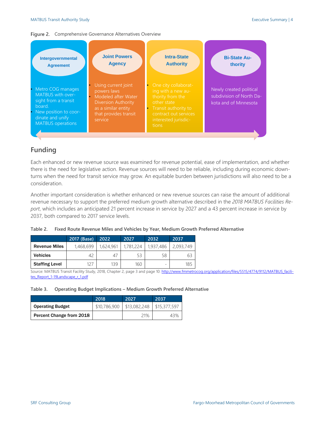#### Figure 2. Comprehensive Governance Alternatives Overview



### **Funding**

Each enhanced or new revenue source was examined for revenue potential, ease of implementation, and whether there is the need for legislative action. Revenue sources will need to be reliable, including during economic downturns when the need for transit service may grow. An equitable burden between jurisdictions will also need to be a consideration.

Another important consideration is whether enhanced or new revenue sources can raise the amount of additional revenue necessary to support the preferred medium growth alternative described in the *2018 MATBUS Facilities Report*, which includes an anticipated 21 percent increase in service by 2027 and a 43 percent increase in service by 2037, both compared to 2017 service levels.

|                       | 2017 (Base) | 2022      | 2027      | 2032                     | 2037      |
|-----------------------|-------------|-----------|-----------|--------------------------|-----------|
| <b>Revenue Miles</b>  | 1,468,699   | 1,624,961 | 1.781.224 | 1,937,486                | 2,093,749 |
| <b>Vehicles</b>       | 42          |           |           | 58                       | 63        |
| <b>Staffing Level</b> |             | 139       | 160       | $\overline{\phantom{a}}$ | 185       |

**Table 2. Fixed Route Revenue Miles and Vehicles by Year, Medium Growth Preferred Alternative**

Source: MATBUS Transit Facility Study, 2018, Chapter 2, page 3 and page 10[: http://www.fmmetrocog.org/application/files/5515/4774/9112/MATBUS\\_facili](http://www.fmmetrocog.org/application/files/5515/4774/9112/MATBUS_facilites_Report_1-19Landscape_r_1.pdf)[tes\\_Report\\_1-19Landscape\\_r\\_1.pdf](http://www.fmmetrocog.org/application/files/5515/4774/9112/MATBUS_facilites_Report_1-19Landscape_r_1.pdf)

#### **Table 3. Operating Budget Implications – Medium Growth Preferred Alternative**

|                          | 2018         | 2027         | 2037         |
|--------------------------|--------------|--------------|--------------|
| <b>Operating Budget</b>  | \$10,786,900 | \$13,082,248 | \$15,377,597 |
| Percent Change from 2018 |              | 21%          |              |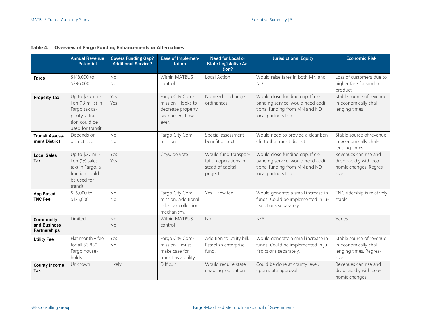|                                                         | <b>Annual Revenue</b><br><b>Potential</b>                                                                       | <b>Covers Funding Gap?</b><br><b>Additional Service?</b> | Ease of Implemen-<br>tation                                                             | <b>Need for Local or</b><br><b>State Legislative Ac-</b><br>tion?            | <b>Jurisdictional Equity</b>                                                                                                | <b>Economic Risk</b>                                                                 |
|---------------------------------------------------------|-----------------------------------------------------------------------------------------------------------------|----------------------------------------------------------|-----------------------------------------------------------------------------------------|------------------------------------------------------------------------------|-----------------------------------------------------------------------------------------------------------------------------|--------------------------------------------------------------------------------------|
| <b>Fares</b>                                            | \$148,000 to<br>\$296,000                                                                                       | <b>No</b><br><b>No</b>                                   | Within MATBUS<br>control                                                                | Local Action                                                                 | Would raise fares in both MN and<br><b>ND</b>                                                                               | Loss of customers due to<br>higher fare for similar<br>product                       |
| <b>Property Tax</b>                                     | Up to \$7.7 mil-<br>lion (13 mills) in<br>Fargo tax ca-<br>pacity, a frac-<br>tion could be<br>used for transit | Yes<br>Yes                                               | Fargo City Com-<br>mission - looks to<br>decrease property<br>tax burden, how-<br>ever. | No need to change<br>ordinances                                              | Would close funding gap. If ex-<br>panding service, would need addi-<br>tional funding from MN and ND<br>local partners too | Stable source of revenue<br>in economically chal-<br>lenging times                   |
| <b>Transit Assess-</b><br>ment District                 | Depends on<br>district size                                                                                     | No<br>No                                                 | Fargo City Com-<br>mission                                                              | Special assessment<br>benefit district                                       | Would need to provide a clear ben-<br>efit to the transit district                                                          | Stable source of revenue<br>in economically chal-<br>lenging times                   |
| <b>Local Sales</b><br>Tax                               | Up to \$27 mil-<br>lion (1% sales<br>tax) in Fargo, a<br>fraction could<br>be used for<br>transit.              | Yes<br>Yes                                               | Citywide vote                                                                           | Would fund transpor-<br>tation operations in-<br>stead of capital<br>project | Would close funding gap. If ex-<br>panding service, would need addi-<br>tional funding from MN and ND<br>local partners too | Revenues can rise and<br>drop rapidly with eco-<br>nomic changes. Regres-<br>sive.   |
| App-Based<br><b>TNC Fee</b>                             | \$25,000 to<br>\$125,000                                                                                        | <b>No</b><br><b>No</b>                                   | Fargo City Com-<br>mission. Additional<br>sales tax collection<br>mechanism.            | $Yes - new fee$                                                              | Would generate a small increase in<br>funds. Could be implemented in ju-<br>risdictions separately.                         | TNC ridership is relatively<br>stable                                                |
| <b>Community</b><br>and Business<br><b>Partnerships</b> | Limited                                                                                                         | No<br><b>No</b>                                          | <b>Within MATBUS</b><br>control                                                         | <b>No</b>                                                                    | N/A                                                                                                                         | Varies                                                                               |
| <b>Utility Fee</b>                                      | Flat monthly fee<br>for all 53,850<br>Fargo house-<br>holds                                                     | Yes<br><b>No</b>                                         | Fargo City Com-<br>$mission - must$<br>make case for<br>transit as a utility            | Addition to utility bill.<br>Establish enterprise<br>fund.                   | Would generate a small increase in<br>funds. Could be implemented in ju-<br>risdictions separately.                         | Stable source of revenue<br>in economically chal-<br>lenging times. Regres-<br>sive. |
| <b>County Income</b><br>Tax                             | Unknown                                                                                                         | Likely                                                   | Difficult                                                                               | Would require state<br>enabling legislation                                  | Could be done at county level,<br>upon state approval                                                                       | Revenues can rise and<br>drop rapidly with eco-<br>nomic changes                     |

#### **Table 4. Overview of Fargo Funding Enhancements or Alternatives**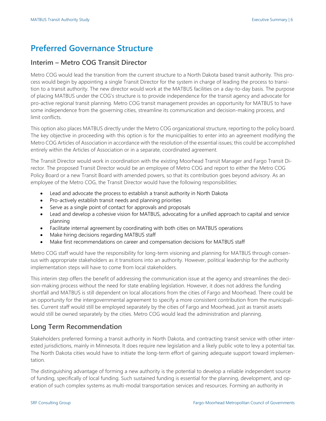## **Preferred Governance Structure**

#### **Interim – Metro COG Transit Director**

Metro COG would lead the transition from the current structure to a North Dakota based transit authority. This process would begin by appointing a single Transit Director for the system in charge of leading the process to transition to a transit authority. The new director would work at the MATBUS facilities on a day-to-day basis. The purpose of placing MATBUS under the COG's structure is to provide independence for the transit agency and advocate for pro-active regional transit planning. Metro COG transit management provides an opportunity for MATBUS to have some independence from the governing cities, streamline its communication and decision-making process, and limit conflicts.

This option also places MATBUS directly under the Metro COG organizational structure, reporting to the policy board. The key objective in proceeding with this option is for the municipalities to enter into an agreement modifying the Metro COG Articles of Association in accordance with the resolution of the essential issues; this could be accomplished entirely within the Articles of Association or in a separate, coordinated agreement.

The Transit Director would work in coordination with the existing Moorhead Transit Manager and Fargo Transit Director. The proposed Transit Director would be an employee of Metro COG and report to either the Metro COG Policy Board or a new Transit Board with amended powers, so that its contribution goes beyond advisory. As an employee of the Metro COG, the Transit Director would have the following responsibilities:

- Lead and advocate the process to establish a transit authority in North Dakota
- Pro-actively establish transit needs and planning priorities
- Serve as a single point of contact for approvals and proposals
- Lead and develop a cohesive vision for MATBUS, advocating for a unified approach to capital and service planning
- Facilitate internal agreement by coordinating with both cities on MATBUS operations
- Make hiring decisions regarding MATBUS staff
- Make first recommendations on career and compensation decisions for MATBUS staff

Metro COG staff would have the responsibility for long-term visioning and planning for MATBUS through consensus with appropriate stakeholders as it transitions into an authority. However, political leadership for the authority implementation steps will have to come from local stakeholders.

This interim step offers the benefit of addressing the communication issue at the agency and streamlines the decision-making process without the need for state enabling legislation. However, it does not address the funding shortfall and MATBUS is still dependent on local allocations from the cities of Fargo and Moorhead. There could be an opportunity for the intergovernmental agreement to specify a more consistent contribution from the municipalities. Current staff would still be employed separately by the cities of Fargo and Moorhead, just as transit assets would still be owned separately by the cities. Metro COG would lead the administration and planning.

## **Long Term Recommendation**

Stakeholders preferred forming a transit authority in North Dakota, and contracting transit service with other interested jurisdictions, mainly in Minnesota. It does require new legislation and a likely public vote to levy a potential tax. The North Dakota cities would have to initiate the long-term effort of gaining adequate support toward implementation.

The distinguishing advantage of forming a new authority is the potential to develop a reliable independent source of funding, specifically of local funding. Such sustained funding is essential for the planning, development, and operation of such complex systems as multi-modal transportation services and resources. Forming an authority in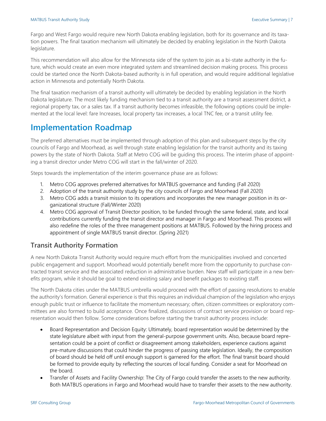Fargo and West Fargo would require new North Dakota enabling legislation, both for its governance and its taxation powers. The final taxation mechanism will ultimately be decided by enabling legislation in the North Dakota legislature.

This recommendation will also allow for the Minnesota side of the system to join as a bi-state authority in the future, which would create an even more integrated system and streamlined decision making process. This process could be started once the North Dakota-based authority is in full operation, and would require additional legislative action in Minnesota and potentially North Dakota.

The final taxation mechanism of a transit authority will ultimately be decided by enabling legislation in the North Dakota legislature. The most likely funding mechanism tied to a transit authority are a transit assessment district, a regional property tax, or a sales tax. If a transit authority becomes infeasible, the following options could be implemented at the local level: fare Increases, local property tax increases, a local TNC fee, or a transit utility fee.

## **Implementation Roadmap**

The preferred alternatives must be implemented through adoption of this plan and subsequent steps by the city councils of Fargo and Moorhead, as well through state enabling legislation for the transit authority and its taxing powers by the state of North Dakota. Staff at Metro COG will be guiding this process. The interim phase of appointing a transit director under Metro COG will start in the fall/winter of 2020.

Steps towards the implementation of the interim governance phase are as follows:

- 1. Metro COG approves preferred alternatives for MATBUS governance and funding (Fall 2020)
- 2. Adoption of the transit authority study by the city councils of Fargo and Moorhead (Fall 2020)
- 3. Metro COG adds a transit mission to its operations and incorporates the new manager position in its organizational structure (Fall/Winter 2020)
- 4. Metro COG approval of Transit Director position, to be funded through the same federal, state, and local contributions currently funding the transit director and manager in Fargo and Moorhead. This process will also redefine the roles of the three management positions at MATBUS. Followed by the hiring process and appointment of single MATBUS transit director. (Spring 2021)

## **Transit Authority Formation**

A new North Dakota Transit Authority would require much effort from the municipalities involved and concerted public engagement and support. Moorhead would potentially benefit more from the opportunity to purchase contracted transit service and the associated reduction in administrative burden. New staff will participate in a new benefits program, while it should be goal to extend existing salary and benefit packages to existing staff.

The North Dakota cities under the MATBUS umbrella would proceed with the effort of passing resolutions to enable the authority's formation. General experience is that this requires an individual champion of the legislation who enjoys enough public trust or influence to facilitate the momentum necessary; often, citizen committees or exploratory committees are also formed to build acceptance. Once finalized, discussions of contract service provision or board representation would then follow. Some considerations before starting the transit authority process include:

- Board Representation and Decision Equity: Ultimately, board representation would be determined by the state legislature albeit with input from the general-purpose government units. Also, because board representation could be a point of conflict or disagreement among stakeholders, experience cautions against pre-mature discussions that could hinder the progress of passing state legislation. Ideally, the composition of board should be held off until enough support is garnered for the effort. The final transit board should be formed to provide equity by reflecting the sources of local funding. Consider a seat for Moorhead on the board.
- Transfer of Assets and Facility Ownership: The City of Fargo could transfer the assets to the new authority. Both MATBUS operations in Fargo and Moorhead would have to transfer their assets to the new authority.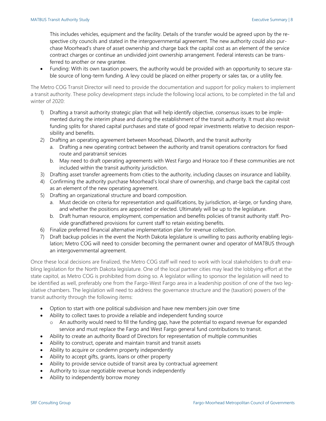This includes vehicles, equipment and the facility. Details of the transfer would be agreed upon by the respective city councils and stated in the intergovernmental agreement. The new authority could also purchase Moorhead's share of asset ownership and charge back the capital cost as an element of the service contract charges or continue an undivided joint ownership arrangement. Federal interests can be transferred to another or new grantee.

• Funding: With its own taxation powers, the authority would be provided with an opportunity to secure stable source of long-term funding. A levy could be placed on either property or sales tax, or a utility fee.

The Metro COG Transit Director will need to provide the documentation and support for policy makers to implement a transit authority. These policy development steps include the following local actions, to be completed in the fall and winter of 2020:

- 1) Drafting a transit authority strategic plan that will help identify objective, consensus issues to be implemented during the interim phase and during the establishment of the transit authority. It must also revisit funding splits for shared capital purchases and state of good repair investments relative to decision responsibility and benefits.
- 2) Drafting an operating agreement between Moorhead, Dilworth, and the transit authority
	- a. Drafting a new operating contract between the authority and transit operations contractors for fixed route and paratransit services
	- b. May need to draft operating agreements with West Fargo and Horace too if these communities are not included within the transit authority jurisdiction.
- 3) Drafting asset transfer agreements from cities to the authority, including clauses on insurance and liability.
- 4) Confirming the authority purchase Moorhead's local share of ownership, and charge back the capital cost as an element of the new operating agreement.
- 5) Drafting an organizational structure and board composition.
	- a. Must decide on criteria for representation and qualifications, by jurisdiction, at-large, or funding share, and whether the positions are appointed or elected. Ultimately will be up to the legislature.
	- b. Draft human resource, employment, compensation and benefits policies of transit authority staff. Provide grandfathered provisions for current staff to retain existing benefits.
- 6) Finalize preferred financial alternative implementation plan for revenue collection.
- 7) Draft backup policies in the event the North Dakota legislature is unwilling to pass authority enabling legislation; Metro COG will need to consider becoming the permanent owner and operator of MATBUS through an intergovernmental agreement.

Once these local decisions are finalized, the Metro COG staff will need to work with local stakeholders to draft enabling legislation for the North Dakota legislature. One of the local partner cities may lead the lobbying effort at the state capitol, as Metro COG is prohibited from doing so. A legislator willing to sponsor the legislation will need to be identified as well, preferably one from the Fargo-West Fargo area in a leadership position of one of the two legislative chambers. The legislation will need to address the governance structure and the (taxation) powers of the transit authority through the following items:

- Option to start with one political subdivision and have new members join over time
- Ability to collect taxes to provide a reliable and independent funding source
	- o An authority would need to fill the funding gap, have the potential to expand revenue for expanded service and must replace the Fargo and West Fargo general fund contributions to transit.
- Ability to create an authority Board of Directors for representation of multiple communities
- Ability to construct, operate and maintain transit and transit assets
- Ability to acquire or condemn property independently
- Ability to accept gifts, grants, loans or other property
- Ability to provide service outside of transit area by contractual agreement
- Authority to issue negotiable revenue bonds independently
- Ability to independently borrow money